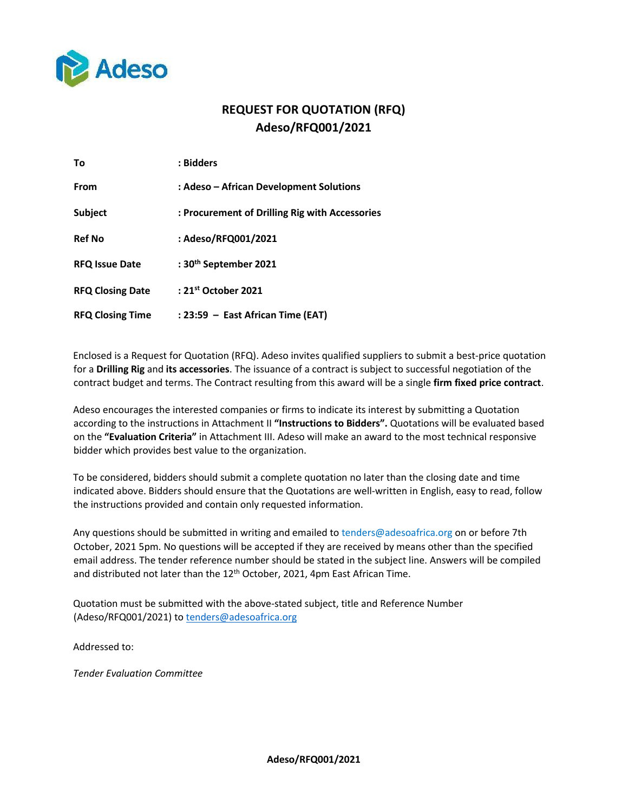

# **REQUEST FOR QUOTATION (RFQ) Adeso/RFQ001/2021**

| Τo                      | : Bidders                                      |
|-------------------------|------------------------------------------------|
| From                    | : Adeso - African Development Solutions        |
| Subject                 | : Procurement of Drilling Rig with Accessories |
| <b>Ref No</b>           | : Adeso/RFQ001/2021                            |
| <b>RFQ Issue Date</b>   | : 30 <sup>th</sup> September 2021              |
| <b>RFQ Closing Date</b> | : 21 <sup>st</sup> October 2021                |
| <b>RFQ Closing Time</b> | : 23:59 - East African Time (EAT)              |

Enclosed is a Request for Quotation (RFQ). Adeso invites qualified suppliers to submit a best-price quotation for a **Drilling Rig** and **its accessories**. The issuance of a contract is subject to successful negotiation of the contract budget and terms. The Contract resulting from this award will be a single **firm fixed price contract**.

Adeso encourages the interested companies or firms to indicate its interest by submitting a Quotation according to the instructions in Attachment II **"Instructions to Bidders".** Quotations will be evaluated based on the **"Evaluation Criteria"** in Attachment III. Adeso will make an award to the most technical responsive bidder which provides best value to the organization.

To be considered, bidders should submit a complete quotation no later than the closing date and time indicated above. Bidders should ensure that the Quotations are well-written in English, easy to read, follow the instructions provided and contain only requested information.

Any questions should be submitted in writing and emailed to tenders@adesoafrica.org on or before 7th October, 2021 5pm. No questions will be accepted if they are received by means other than the specified email address. The tender reference number should be stated in the subject line. Answers will be compiled and distributed not later than the 12<sup>th</sup> October, 2021, 4pm East African Time.

Quotation must be submitted with the above-stated subject, title and Reference Number (Adeso/RFQ001/2021) t[o tenders@adesoafrica.org](mailto:tenders@adesoafrica.org)

Addressed to:

*Tender Evaluation Committee*

**Adeso/RFQ001/2021**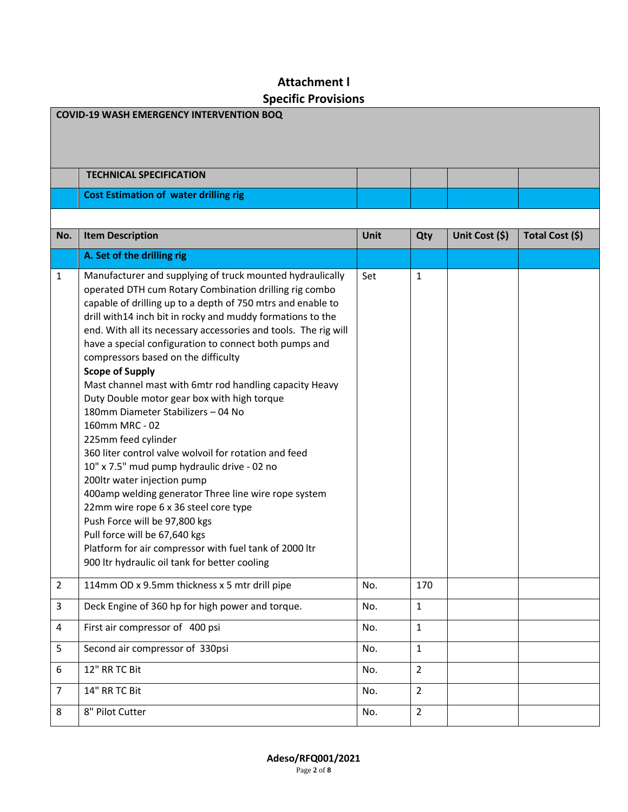# **Attachment l Specific Provisions**

| <b>COVID-19 WASH EMERGENCY INTERVENTION BOQ</b> |                                                                                                                                                                                                                                                                                                                                                                                                                                                                                                                                                                                                                                                                                                                                                                                                                                                                                                                                                                                                                                                              |      |                |                |                 |
|-------------------------------------------------|--------------------------------------------------------------------------------------------------------------------------------------------------------------------------------------------------------------------------------------------------------------------------------------------------------------------------------------------------------------------------------------------------------------------------------------------------------------------------------------------------------------------------------------------------------------------------------------------------------------------------------------------------------------------------------------------------------------------------------------------------------------------------------------------------------------------------------------------------------------------------------------------------------------------------------------------------------------------------------------------------------------------------------------------------------------|------|----------------|----------------|-----------------|
|                                                 |                                                                                                                                                                                                                                                                                                                                                                                                                                                                                                                                                                                                                                                                                                                                                                                                                                                                                                                                                                                                                                                              |      |                |                |                 |
|                                                 | <b>TECHNICAL SPECIFICATION</b>                                                                                                                                                                                                                                                                                                                                                                                                                                                                                                                                                                                                                                                                                                                                                                                                                                                                                                                                                                                                                               |      |                |                |                 |
|                                                 | <b>Cost Estimation of water drilling rig</b>                                                                                                                                                                                                                                                                                                                                                                                                                                                                                                                                                                                                                                                                                                                                                                                                                                                                                                                                                                                                                 |      |                |                |                 |
|                                                 |                                                                                                                                                                                                                                                                                                                                                                                                                                                                                                                                                                                                                                                                                                                                                                                                                                                                                                                                                                                                                                                              |      |                |                |                 |
| No.                                             | <b>Item Description</b>                                                                                                                                                                                                                                                                                                                                                                                                                                                                                                                                                                                                                                                                                                                                                                                                                                                                                                                                                                                                                                      | Unit | Qty            | Unit Cost (\$) | Total Cost (\$) |
|                                                 | A. Set of the drilling rig                                                                                                                                                                                                                                                                                                                                                                                                                                                                                                                                                                                                                                                                                                                                                                                                                                                                                                                                                                                                                                   |      |                |                |                 |
| 1                                               | Manufacturer and supplying of truck mounted hydraulically<br>operated DTH cum Rotary Combination drilling rig combo<br>capable of drilling up to a depth of 750 mtrs and enable to<br>drill with14 inch bit in rocky and muddy formations to the<br>end. With all its necessary accessories and tools. The rig will<br>have a special configuration to connect both pumps and<br>compressors based on the difficulty<br><b>Scope of Supply</b><br>Mast channel mast with 6mtr rod handling capacity Heavy<br>Duty Double motor gear box with high torque<br>180mm Diameter Stabilizers - 04 No<br>160mm MRC - 02<br>225mm feed cylinder<br>360 liter control valve wolvoil for rotation and feed<br>10" x 7.5" mud pump hydraulic drive - 02 no<br>200ltr water injection pump<br>400amp welding generator Three line wire rope system<br>22mm wire rope 6 x 36 steel core type<br>Push Force will be 97,800 kgs<br>Pull force will be 67,640 kgs<br>Platform for air compressor with fuel tank of 2000 Itr<br>900 Itr hydraulic oil tank for better cooling | Set  | 1              |                |                 |
| $\overline{2}$                                  | 114mm OD x 9.5mm thickness x 5 mtr drill pipe                                                                                                                                                                                                                                                                                                                                                                                                                                                                                                                                                                                                                                                                                                                                                                                                                                                                                                                                                                                                                | No.  | 170            |                |                 |
| 3                                               | Deck Engine of 360 hp for high power and torque.                                                                                                                                                                                                                                                                                                                                                                                                                                                                                                                                                                                                                                                                                                                                                                                                                                                                                                                                                                                                             | No.  | $\mathbf{1}$   |                |                 |
| 4                                               | First air compressor of 400 psi                                                                                                                                                                                                                                                                                                                                                                                                                                                                                                                                                                                                                                                                                                                                                                                                                                                                                                                                                                                                                              | No.  | $\mathbf{1}$   |                |                 |
| 5                                               | Second air compressor of 330psi                                                                                                                                                                                                                                                                                                                                                                                                                                                                                                                                                                                                                                                                                                                                                                                                                                                                                                                                                                                                                              | No.  | $\mathbf{1}$   |                |                 |
| 6                                               | 12" RR TC Bit                                                                                                                                                                                                                                                                                                                                                                                                                                                                                                                                                                                                                                                                                                                                                                                                                                                                                                                                                                                                                                                | No.  | $\overline{2}$ |                |                 |
| $\overline{7}$                                  | 14" RR TC Bit                                                                                                                                                                                                                                                                                                                                                                                                                                                                                                                                                                                                                                                                                                                                                                                                                                                                                                                                                                                                                                                | No.  | $\overline{2}$ |                |                 |
| 8                                               | 8" Pilot Cutter                                                                                                                                                                                                                                                                                                                                                                                                                                                                                                                                                                                                                                                                                                                                                                                                                                                                                                                                                                                                                                              | No.  | $\overline{2}$ |                |                 |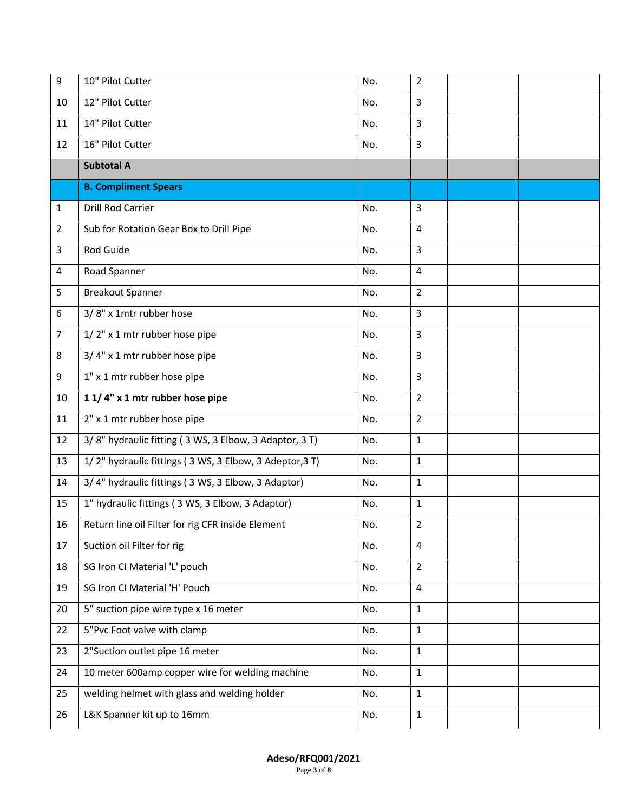| 9              | 10" Pilot Cutter                                        | No. | $\overline{2}$ |  |
|----------------|---------------------------------------------------------|-----|----------------|--|
| 10             | 12" Pilot Cutter                                        | No. | 3              |  |
| 11             | 14" Pilot Cutter                                        | No. | 3              |  |
| 12             | 16" Pilot Cutter                                        | No. | 3              |  |
|                | <b>Subtotal A</b>                                       |     |                |  |
|                | <b>B. Compliment Spears</b>                             |     |                |  |
| 1              | <b>Drill Rod Carrier</b>                                | No. | 3              |  |
| $\overline{2}$ | Sub for Rotation Gear Box to Drill Pipe                 | No. | $\overline{4}$ |  |
| 3              | Rod Guide                                               | No. | 3              |  |
| 4              | Road Spanner                                            | No. | 4              |  |
| 5              | <b>Breakout Spanner</b>                                 | No. | $\overline{2}$ |  |
| 6              | 3/8" x 1mtr rubber hose                                 | No. | 3              |  |
| $\overline{7}$ | 1/2" x 1 mtr rubber hose pipe                           | No. | 3              |  |
| 8              | 3/4" x 1 mtr rubber hose pipe                           | No. | 3              |  |
| 9              | 1" x 1 mtr rubber hose pipe                             | No. | 3              |  |
| 10             | 1 1/4" x 1 mtr rubber hose pipe                         | No. | $\overline{2}$ |  |
| 11             | 2" x 1 mtr rubber hose pipe                             | No. | $\overline{2}$ |  |
| 12             | 3/8" hydraulic fitting (3 WS, 3 Elbow, 3 Adaptor, 3 T)  | No. | $\mathbf{1}$   |  |
| 13             | 1/2" hydraulic fittings (3 WS, 3 Elbow, 3 Adeptor, 3 T) | No. | $\mathbf{1}$   |  |
| 14             | 3/4" hydraulic fittings (3 WS, 3 Elbow, 3 Adaptor)      | No. | $\mathbf{1}$   |  |
| 15             | 1" hydraulic fittings (3 WS, 3 Elbow, 3 Adaptor)        | No. | $\mathbf{1}$   |  |
| 16             | Return line oil Filter for rig CFR inside Element       | No. | $\overline{2}$ |  |
| 17             | Suction oil Filter for rig                              | No. | $\overline{4}$ |  |
| 18             | SG Iron CI Material 'L' pouch                           | No. | $\overline{2}$ |  |
| 19             | SG Iron CI Material 'H' Pouch                           | No. | $\overline{4}$ |  |
| 20             | 5" suction pipe wire type x 16 meter                    | No. | $\mathbf{1}$   |  |
| 22             | 5"Pvc Foot valve with clamp                             | No. | $\mathbf{1}$   |  |
| 23             | 2"Suction outlet pipe 16 meter                          | No. | $\mathbf{1}$   |  |
| 24             | 10 meter 600amp copper wire for welding machine         | No. | $\mathbf{1}$   |  |
| 25             | welding helmet with glass and welding holder            | No. | $\mathbf{1}$   |  |
| 26             | L&K Spanner kit up to 16mm                              | No. | $\mathbf{1}$   |  |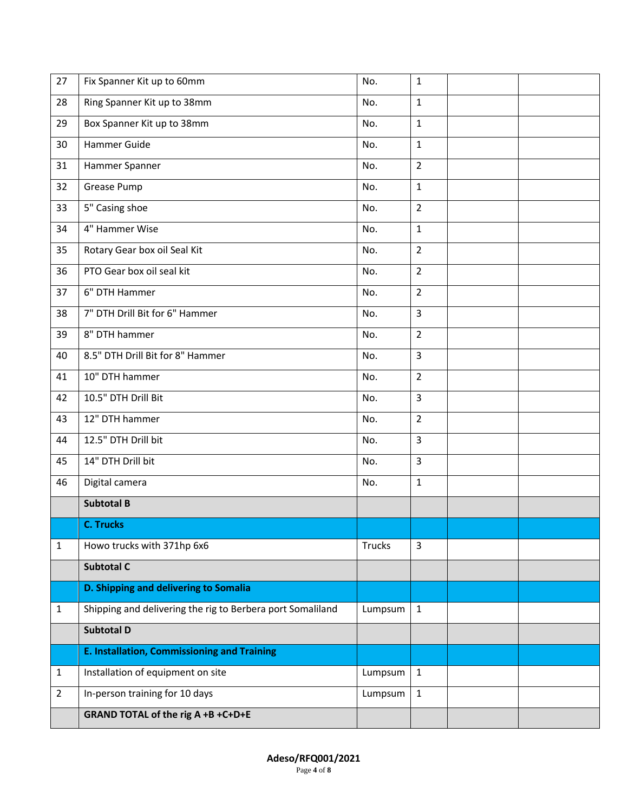| 27             | Fix Spanner Kit up to 60mm                                 | No.     | $\mathbf{1}$   |  |
|----------------|------------------------------------------------------------|---------|----------------|--|
| 28             | Ring Spanner Kit up to 38mm                                | No.     | $\mathbf{1}$   |  |
| 29             | Box Spanner Kit up to 38mm                                 | No.     | $\mathbf{1}$   |  |
| 30             | Hammer Guide                                               | No.     | $\mathbf{1}$   |  |
| 31             | Hammer Spanner                                             | No.     | $\overline{2}$ |  |
| 32             | Grease Pump                                                | No.     | $\mathbf{1}$   |  |
| 33             | 5" Casing shoe                                             | No.     | $\overline{2}$ |  |
| 34             | 4" Hammer Wise                                             | No.     | $\mathbf{1}$   |  |
| 35             | Rotary Gear box oil Seal Kit                               | No.     | $\overline{2}$ |  |
| 36             | PTO Gear box oil seal kit                                  | No.     | $\overline{2}$ |  |
| 37             | 6" DTH Hammer                                              | No.     | $\overline{2}$ |  |
| 38             | 7" DTH Drill Bit for 6" Hammer                             | No.     | $\overline{3}$ |  |
| 39             | 8" DTH hammer                                              | No.     | $\overline{2}$ |  |
| 40             | 8.5" DTH Drill Bit for 8" Hammer                           | No.     | $\mathbf{3}$   |  |
| 41             | 10" DTH hammer                                             | No.     | $\overline{2}$ |  |
| 42             | 10.5" DTH Drill Bit                                        | No.     | 3              |  |
| 43             | 12" DTH hammer                                             | No.     | $\overline{2}$ |  |
| 44             | 12.5" DTH Drill bit                                        | No.     | $\overline{3}$ |  |
| 45             | 14" DTH Drill bit                                          | No.     | $\mathbf{3}$   |  |
| 46             | Digital camera                                             | No.     | $\mathbf{1}$   |  |
|                | <b>Subtotal B</b>                                          |         |                |  |
|                | <b>C. Trucks</b>                                           |         |                |  |
| 1              | Howo trucks with 371hp 6x6                                 | Trucks  | 3              |  |
|                | Subtotal C                                                 |         |                |  |
|                | D. Shipping and delivering to Somalia                      |         |                |  |
| 1              | Shipping and delivering the rig to Berbera port Somaliland | Lumpsum | $\mathbf{1}$   |  |
|                | <b>Subtotal D</b>                                          |         |                |  |
|                | <b>E. Installation, Commissioning and Training</b>         |         |                |  |
| 1              | Installation of equipment on site                          | Lumpsum | $\mathbf{1}$   |  |
| $\overline{2}$ | In-person training for 10 days                             | Lumpsum | $\mathbf{1}$   |  |
|                | GRAND TOTAL of the rig A +B +C+D+E                         |         |                |  |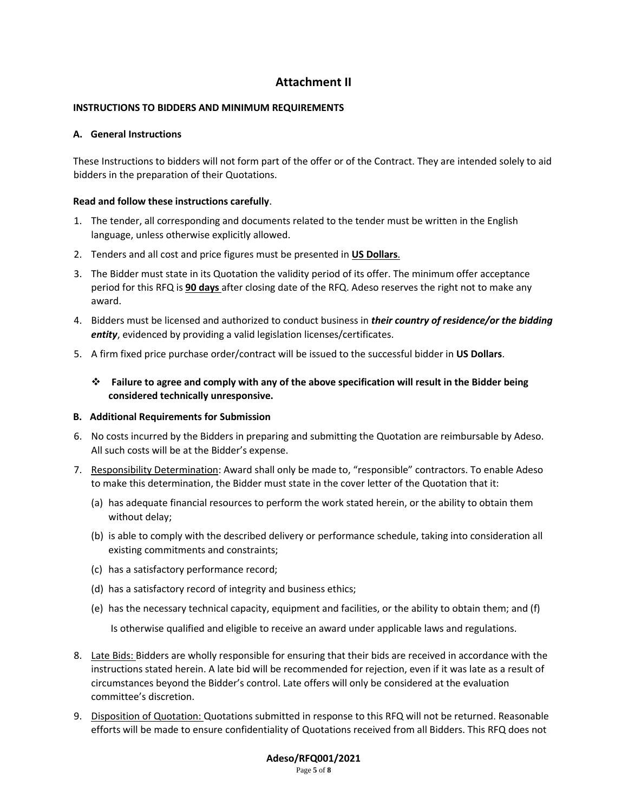# **Attachment II**

# **INSTRUCTIONS TO BIDDERS AND MINIMUM REQUIREMENTS**

# **A. General Instructions**

These Instructions to bidders will not form part of the offer or of the Contract. They are intended solely to aid bidders in the preparation of their Quotations.

# **Read and follow these instructions carefully**.

- 1. The tender, all corresponding and documents related to the tender must be written in the English language, unless otherwise explicitly allowed.
- 2. Tenders and all cost and price figures must be presented in **US Dollars**.
- 3. The Bidder must state in its Quotation the validity period of its offer. The minimum offer acceptance period for this RFQ is **90 days** after closing date of the RFQ. Adeso reserves the right not to make any award.
- 4. Bidders must be licensed and authorized to conduct business in *their country of residence/or the bidding entity*, evidenced by providing a valid legislation licenses/certificates.
- 5. A firm fixed price purchase order/contract will be issued to the successful bidder in **US Dollars**.
	- **Failure to agree and comply with any of the above specification will result in the Bidder being considered technically unresponsive.**

#### **B. Additional Requirements for Submission**

- 6. No costs incurred by the Bidders in preparing and submitting the Quotation are reimbursable by Adeso. All such costs will be at the Bidder's expense.
- 7. Responsibility Determination: Award shall only be made to, "responsible" contractors. To enable Adeso to make this determination, the Bidder must state in the cover letter of the Quotation that it:
	- (a) has adequate financial resources to perform the work stated herein, or the ability to obtain them without delay;
	- (b) is able to comply with the described delivery or performance schedule, taking into consideration all existing commitments and constraints;
	- (c) has a satisfactory performance record;
	- (d) has a satisfactory record of integrity and business ethics;
	- (e) has the necessary technical capacity, equipment and facilities, or the ability to obtain them; and (f)

Is otherwise qualified and eligible to receive an award under applicable laws and regulations.

- 8. Late Bids: Bidders are wholly responsible for ensuring that their bids are received in accordance with the instructions stated herein. A late bid will be recommended for rejection, even if it was late as a result of circumstances beyond the Bidder's control. Late offers will only be considered at the evaluation committee's discretion.
- 9. Disposition of Quotation: Quotations submitted in response to this RFQ will not be returned. Reasonable efforts will be made to ensure confidentiality of Quotations received from all Bidders. This RFQ does not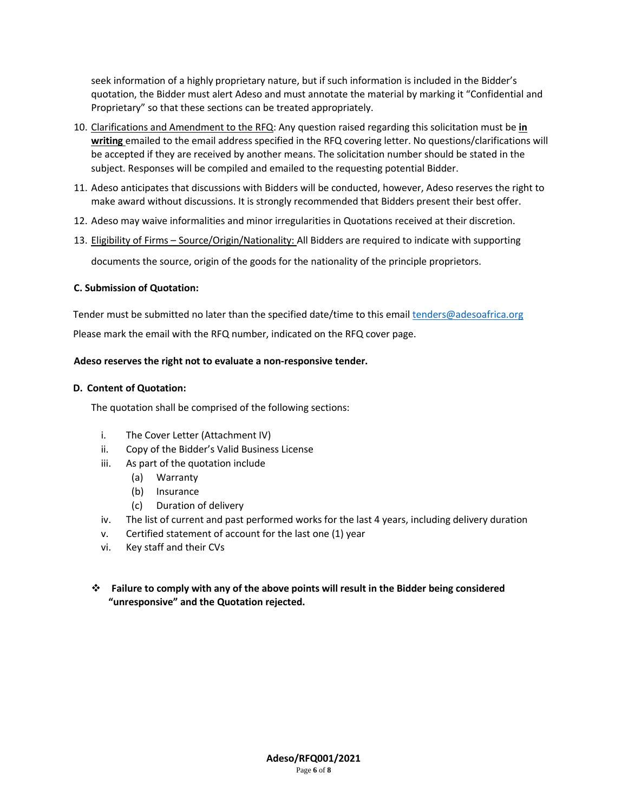seek information of a highly proprietary nature, but if such information is included in the Bidder's quotation, the Bidder must alert Adeso and must annotate the material by marking it "Confidential and Proprietary" so that these sections can be treated appropriately.

- 10. Clarifications and Amendment to the RFQ: Any question raised regarding this solicitation must be **in writing** emailed to the email address specified in the RFQ covering letter. No questions/clarifications will be accepted if they are received by another means. The solicitation number should be stated in the subject. Responses will be compiled and emailed to the requesting potential Bidder.
- 11. Adeso anticipates that discussions with Bidders will be conducted, however, Adeso reserves the right to make award without discussions. It is strongly recommended that Bidders present their best offer.
- 12. Adeso may waive informalities and minor irregularities in Quotations received at their discretion.
- 13. Eligibility of Firms Source/Origin/Nationality: All Bidders are required to indicate with supporting

documents the source, origin of the goods for the nationality of the principle proprietors.

# **C. Submission of Quotation:**

Tender must be submitted no later than the specified date/time to this email [tenders@adesoafrica.org](mailto:tenders@adesoafrica.org) Please mark the email with the RFQ number, indicated on the RFQ cover page.

# **Adeso reserves the right not to evaluate a non-responsive tender.**

# **D. Content of Quotation:**

The quotation shall be comprised of the following sections:

- i. The Cover Letter (Attachment IV)
- ii. Copy of the Bidder's Valid Business License
- iii. As part of the quotation include
	- (a) Warranty
	- (b) Insurance
	- (c) Duration of delivery
- iv. The list of current and past performed works for the last 4 years, including delivery duration
- v. Certified statement of account for the last one (1) year
- vi. Key staff and their CVs
- **Failure to comply with any of the above points will result in the Bidder being considered "unresponsive" and the Quotation rejected.**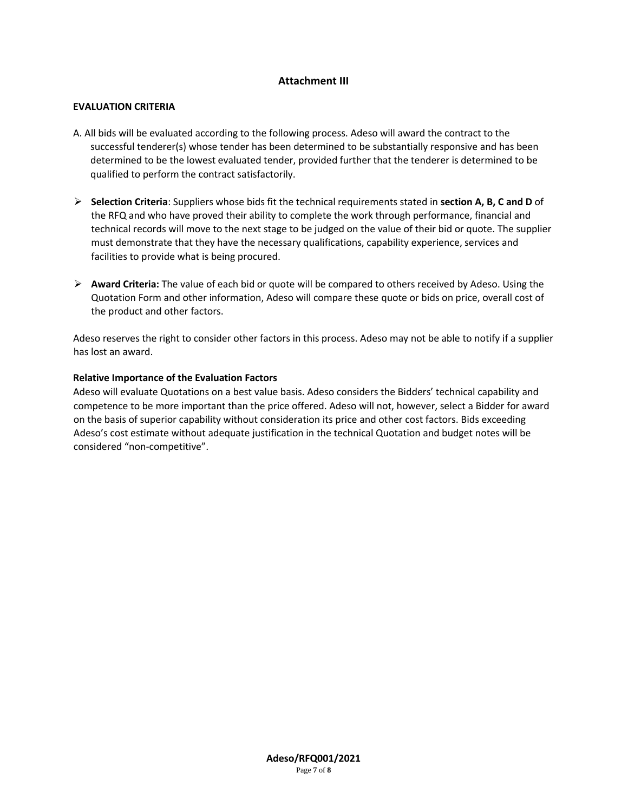# **Attachment III**

# **EVALUATION CRITERIA**

- A. All bids will be evaluated according to the following process. Adeso will award the contract to the successful tenderer(s) whose tender has been determined to be substantially responsive and has been determined to be the lowest evaluated tender, provided further that the tenderer is determined to be qualified to perform the contract satisfactorily.
- **Selection Criteria**: Suppliers whose bids fit the technical requirements stated in **section A, B, C and D** of the RFQ and who have proved their ability to complete the work through performance, financial and technical records will move to the next stage to be judged on the value of their bid or quote. The supplier must demonstrate that they have the necessary qualifications, capability experience, services and facilities to provide what is being procured.
- **Award Criteria:** The value of each bid or quote will be compared to others received by Adeso. Using the Quotation Form and other information, Adeso will compare these quote or bids on price, overall cost of the product and other factors.

Adeso reserves the right to consider other factors in this process. Adeso may not be able to notify if a supplier has lost an award.

# **Relative Importance of the Evaluation Factors**

Adeso will evaluate Quotations on a best value basis. Adeso considers the Bidders' technical capability and competence to be more important than the price offered. Adeso will not, however, select a Bidder for award on the basis of superior capability without consideration its price and other cost factors. Bids exceeding Adeso's cost estimate without adequate justification in the technical Quotation and budget notes will be considered "non-competitive".